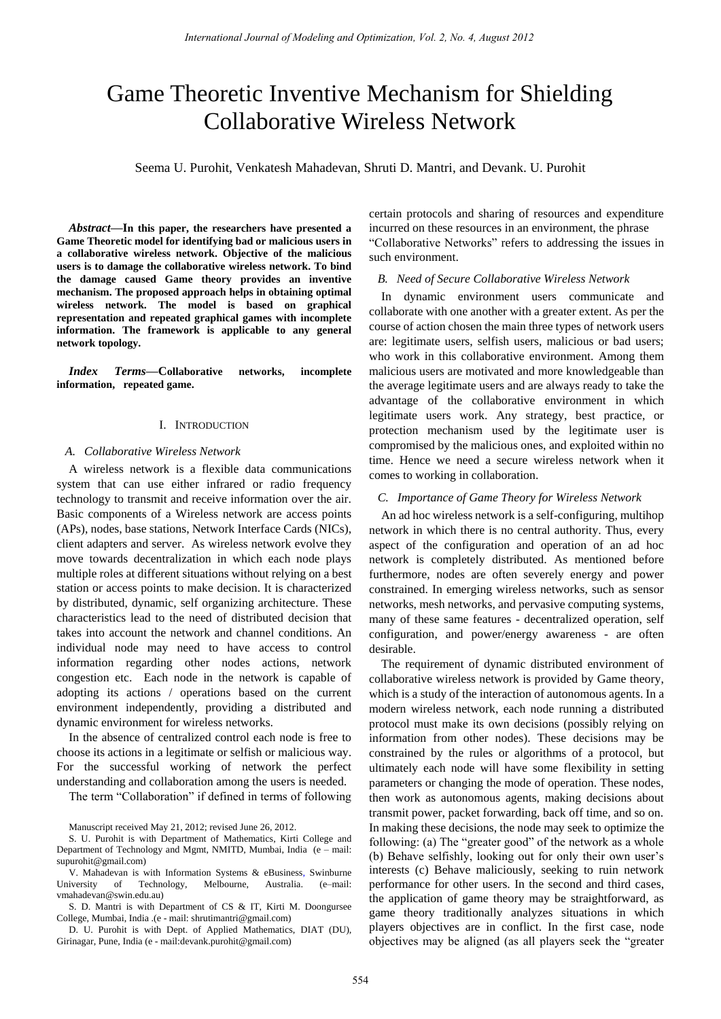# Game Theoretic Inventive Mechanism for Shielding Collaborative Wireless Network

Seema U. Purohit, Venkatesh Mahadevan, Shruti D. Mantri, and Devank. U. Purohit

 *Abstract***—In this paper, the researchers have presented a Game Theoretic model for identifying bad or malicious users in a collaborative wireless network. Objective of the malicious users is to damage the collaborative wireless network. To bind the damage caused Game theory provides an inventive mechanism. The proposed approach helps in obtaining optimal wireless network. The model is based on graphical representation and repeated graphical games with incomplete information. The framework is applicable to any general network topology.**

*Index Terms***—Collaborative networks, incomplete information, repeated game.** 

## I. INTRODUCTION

### *A. Collaborative Wireless Network*

A wireless network is a flexible data communications system that can use either infrared or radio frequency technology to transmit and receive information over the air. Basic components of a Wireless network are access points (APs), nodes, base stations, Network Interface Cards (NICs), client adapters and server. As wireless network evolve they move towards decentralization in which each node plays multiple roles at different situations without relying on a best station or access points to make decision. It is characterized by distributed, dynamic, self organizing architecture. These characteristics lead to the need of distributed decision that takes into account the network and channel conditions. An individual node may need to have access to control information regarding other nodes actions, network congestion etc. Each node in the network is capable of adopting its actions / operations based on the current environment independently, providing a distributed and dynamic environment for wireless networks.

In the absence of centralized control each node is free to choose its actions in a legitimate or selfish or malicious way. For the successful working of network the perfect understanding and collaboration among the users is needed.

The term "Collaboration" if defined in terms of following

Manuscript received May 21, 2012; revised June 26, 2012.

S. U. Purohit is with Department of Mathematics, Kirti College and Department of Technology and Mgmt, NMITD, Mumbai, India (e – mail: [supurohit@gmail.com\)](mailto:supurohit@gmail.com)

V. Mahadevan is with Information Systems & eBusiness, Swinburne University of Technology, Melbourne, Australia. (e–mail: vmahadevan@swin.edu.au)

S. D. Mantri is with Department of CS & IT, Kirti M. Doongursee College, Mumbai, India .(e - mail[: shrutimantri@gmail.com\)](mailto:shrutimantri@gmail.com)

D. U. Purohit is with Dept. of Applied Mathematics, DIAT (DU), Girinagar, Pune, India (e - mail:devank.purohit@gmail.com)

certain protocols and sharing of resources and expenditure incurred on these resources in an environment, the phrase "Collaborative Networks" refers to addressing the issues in such environment.

## *B. Need of Secure Collaborative Wireless Network*

In dynamic environment users communicate and collaborate with one another with a greater extent. As per the course of action chosen the main three types of network users are: legitimate users, selfish users, malicious or bad users; who work in this collaborative environment. Among them malicious users are motivated and more knowledgeable than the average legitimate users and are always ready to take the advantage of the collaborative environment in which legitimate users work. Any strategy, best practice, or protection mechanism used by the legitimate user is compromised by the malicious ones, and exploited within no time. Hence we need a secure wireless network when it comes to working in collaboration.

## *C. Importance of Game Theory for Wireless Network*

An ad hoc wireless network is a self-configuring, multihop network in which there is no central authority. Thus, every aspect of the configuration and operation of an ad hoc network is completely distributed. As mentioned before furthermore, nodes are often severely energy and power constrained. In emerging wireless networks, such as sensor networks, mesh networks, and pervasive computing systems, many of these same features - decentralized operation, self configuration, and power/energy awareness - are often desirable.

The requirement of dynamic distributed environment of collaborative wireless network is provided by Game theory, which is a study of the interaction of autonomous agents. In a modern wireless network, each node running a distributed protocol must make its own decisions (possibly relying on information from other nodes). These decisions may be constrained by the rules or algorithms of a protocol, but ultimately each node will have some flexibility in setting parameters or changing the mode of operation. These nodes, then work as autonomous agents, making decisions about transmit power, packet forwarding, back off time, and so on. In making these decisions, the node may seek to optimize the following: (a) The "greater good" of the network as a whole (b) Behave selfishly, looking out for only their own user's interests (c) Behave maliciously, seeking to ruin network performance for other users. In the second and third cases, the application of game theory may be straightforward, as game theory traditionally analyzes situations in which players objectives are in conflict. In the first case, node objectives may be aligned (as all players seek the "greater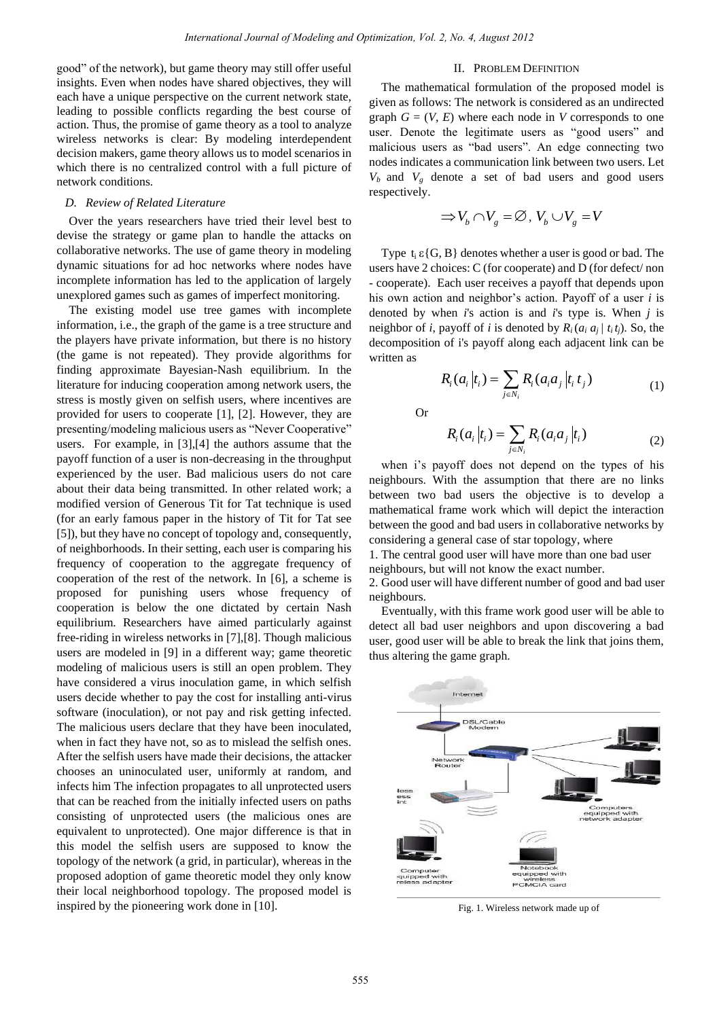good" of the network), but game theory may still offer useful insights. Even when nodes have shared objectives, they will each have a unique perspective on the current network state, leading to possible conflicts regarding the best course of action. Thus, the promise of game theory as a tool to analyze wireless networks is clear: By modeling interdependent decision makers, game theory allows us to model scenarios in which there is no centralized control with a full picture of network conditions.

## *D. Review of Related Literature*

Over the years researchers have tried their level best to devise the strategy or game plan to handle the attacks on collaborative networks. The use of game theory in modeling dynamic situations for ad hoc networks where nodes have incomplete information has led to the application of largely unexplored games such as games of imperfect monitoring.

The existing model use tree games with incomplete information, i.e., the graph of the game is a tree structure and the players have private information, but there is no history (the game is not repeated). They provide algorithms for finding approximate Bayesian-Nash equilibrium. In the literature for inducing cooperation among network users, the stress is mostly given on selfish users, where incentives are provided for users to cooperate [1], [2]. However, they are presenting/modeling malicious users as "Never Cooperative" users. For example, in [3],[4] the authors assume that the payoff function of a user is non-decreasing in the throughput experienced by the user. Bad malicious users do not care about their data being transmitted. In other related work; a modified version of Generous Tit for Tat technique is used (for an early famous paper in the history of Tit for Tat see [5]), but they have no concept of topology and, consequently, of neighborhoods. In their setting, each user is comparing his frequency of cooperation to the aggregate frequency of cooperation of the rest of the network. In [6], a scheme is proposed for punishing users whose frequency of cooperation is below the one dictated by certain Nash equilibrium. Researchers have aimed particularly against free-riding in wireless networks in [7],[8]. Though malicious users are modeled in [9] in a different way; game theoretic modeling of malicious users is still an open problem. They have considered a virus inoculation game, in which selfish users decide whether to pay the cost for installing anti-virus software (inoculation), or not pay and risk getting infected. The malicious users declare that they have been inoculated, when in fact they have not, so as to mislead the selfish ones. After the selfish users have made their decisions, the attacker chooses an uninoculated user, uniformly at random, and infects him The infection propagates to all unprotected users that can be reached from the initially infected users on paths consisting of unprotected users (the malicious ones are equivalent to unprotected). One major difference is that in this model the selfish users are supposed to know the topology of the network (a grid, in particular), whereas in the proposed adoption of game theoretic model they only know their local neighborhood topology. The proposed model is inspired by the pioneering work done in [10].

## II. PROBLEM DEFINITION

The mathematical formulation of the proposed model is given as follows: The network is considered as an undirected graph  $G = (V, E)$  where each node in *V* corresponds to one user. Denote the legitimate users as "good users" and malicious users as "bad users". An edge connecting two nodes indicates a communication link between two users. Let  $V_b$  and  $V_g$  denote a set of bad users and good users respectively.

$$
\Rightarrow V_b \cap V_g = \varnothing, \, V_b \cup V_g = V
$$

Type  $t_i \in \{G, B\}$  denotes whether a user is good or bad. The users have 2 choices: C (for cooperate) and D (for defect/ non - cooperate). Each user receives a payoff that depends upon his own action and neighbor's action. Payoff of a user *i* is denoted by when *i*'s action is and *i*'s type is. When *j* is neighbor of *i*, payoff of *i* is denoted by  $R_i(a_i a_j / t_i t_j)$ . So, the decomposition of i's payoff along each adjacent link can be written as

$$
R_i(a_i|t_i) = \sum_{j \in N_i} R_i(a_i a_j | t_i t_j)
$$
 (1)

Or

$$
R_i(a_i|t_i) = \sum_{j \in N_i} R_i(a_i a_j|t_i)
$$
 (2)

when i's payoff does not depend on the types of his neighbours. With the assumption that there are no links between two bad users the objective is to develop a mathematical frame work which will depict the interaction between the good and bad users in collaborative networks by considering a general case of star topology, where

1. The central good user will have more than one bad user neighbours, but will not know the exact number.

2. Good user will have different number of good and bad user neighbours.

Eventually, with this frame work good user will be able to detect all bad user neighbors and upon discovering a bad user, good user will be able to break the link that joins them, thus altering the game graph.



Fig. 1. Wireless network made up of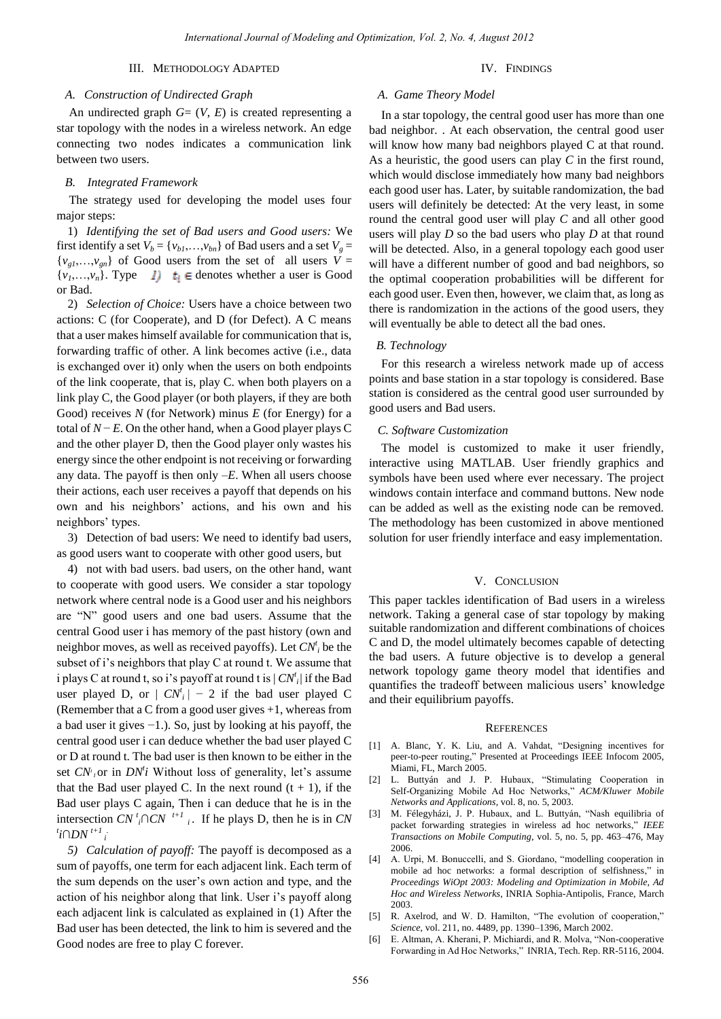## III. METHODOLOGY ADAPTED

### IV. FINDINGS

## *A. Construction of Undirected Graph*

An undirected graph *G*= (*V*, *E*) is created representing a star topology with the nodes in a wireless network. An edge connecting two nodes indicates a communication link between two users.

#### *B. Integrated Framework*

The strategy used for developing the model uses four major steps:

1) *Identifying the set of Bad users and Good users:* We first identify a set  $V_b = \{v_{b1}, \ldots, v_{bn}\}$  of Bad users and a set  $V_g =$  ${v_{\varrho}}_{i_1,\ldots,i_{\varrho}}$  of Good users from the set of all users  $V =$  $\{v_1, \ldots, v_n\}$ . Type  $I$   $t_i \in$  denotes whether a user is Good or Bad.

2) *Selection of Choice:* Users have a choice between two actions: C (for Cooperate), and D (for Defect). A C means that a user makes himself available for communication that is, forwarding traffic of other. A link becomes active (i.e., data is exchanged over it) only when the users on both endpoints of the link cooperate, that is, play C. when both players on a link play C, the Good player (or both players, if they are both Good) receives *N* (for Network) minus *E* (for Energy) for a total of  $N - E$ . On the other hand, when a Good player plays C and the other player D, then the Good player only wastes his energy since the other endpoint is not receiving or forwarding any data. The payoff is then only –*E*. When all users choose their actions, each user receives a payoff that depends on his own and his neighbors' actions, and his own and his neighbors' types.

3) Detection of bad users: We need to identify bad users, as good users want to cooperate with other good users, but

4) not with bad users. bad users, on the other hand*,* want to cooperate with good users. We consider a star topology network where central node is a Good user and his neighbors are "N" good users and one bad users. Assume that the central Good user i has memory of the past history (own and neighbor moves, as well as received payoffs). Let *CN<sup>t</sup> i* be the subset of i's neighbors that play C at round t. We assume that i plays C at round t, so i's payoff at round t is | *CN<sup>t</sup> i* | if the Bad user played D, or  $|CN_i'|-2$  if the bad user played C (Remember that a C from a good user gives +1, whereas from a bad user it gives −1.). So, just by looking at his payoff, the central good user i can deduce whether the bad user played C or D at round t. The bad user is then known to be either in the set  $CN<sup>t</sup>$  or in  $DN<sup>t</sup>$  Without loss of generality, let's assume that the Bad user played C. In the next round  $(t + 1)$ , if the Bad user plays C again, Then i can deduce that he is in the intersection *CN*<sup>*t*</sup><sub>*i*</sub> $\cap$ *CN*<sup>*t*+1</sup><sup>*i*</sup><sub>*i*</sub>. If he plays D, then he is in *CN*  $\int$ <sup>*t*</sup>*i*∩*DN*<sup>*t+1*</sup>*i* 

*5) Calculation of payoff:* The payoff is decomposed as a sum of payoffs, one term for each adjacent link. Each term of the sum depends on the user's own action and type, and the action of his neighbor along that link. User i's payoff along each adjacent link is calculated as explained in (1) After the Bad user has been detected, the link to him is severed and the Good nodes are free to play C forever.

## *A*. *Game Theory Model*

In a star topology, the central good user has more than one bad neighbor. . At each observation, the central good user will know how many bad neighbors played C at that round. As a heuristic, the good users can play *C* in the first round, which would disclose immediately how many bad neighbors each good user has. Later, by suitable randomization, the bad users will definitely be detected: At the very least, in some round the central good user will play *C* and all other good users will play *D* so the bad users who play *D* at that round will be detected. Also, in a general topology each good user will have a different number of good and bad neighbors, so the optimal cooperation probabilities will be different for each good user. Even then, however, we claim that, as long as there is randomization in the actions of the good users, they will eventually be able to detect all the bad ones.

## *B. Technology*

For this research a wireless network made up of access points and base station in a star topology is considered. Base station is considered as the central good user surrounded by good users and Bad users.

## *C. Software Customization*

The model is customized to make it user friendly, interactive using MATLAB. User friendly graphics and symbols have been used where ever necessary. The project windows contain interface and command buttons. New node can be added as well as the existing node can be removed. The methodology has been customized in above mentioned solution for user friendly interface and easy implementation.

## V. CONCLUSION

This paper tackles identification of Bad users in a wireless network. Taking a general case of star topology by making suitable randomization and different combinations of choices C and D, the model ultimately becomes capable of detecting the bad users. A future objective is to develop a general network topology game theory model that identifies and quantifies the tradeoff between malicious users' knowledge and their equilibrium payoffs.

#### **REFERENCES**

- [1] A. Blanc, Y. K. Liu, and A. Vahdat, "Designing incentives for peer-to-peer routing," Presented at Proceedings IEEE Infocom 2005, Miami, FL, March 2005.
- [2] L. Buttyán and J. P. Hubaux, "Stimulating Cooperation in Self-Organizing Mobile Ad Hoc Networks," *ACM/Kluwer Mobile Networks and Applications*, vol. 8, no. 5, 2003.
- [3] M. Félegyházi, J. P. Hubaux, and L. Buttyán, "Nash equilibria of packet forwarding strategies in wireless ad hoc networks," *IEEE Transactions on Mobile Computing*, vol. 5, no. 5, pp. 463–476, May 2006.
- [4] A. Urpi, M. Bonuccelli, and S. Giordano, "modelling cooperation in mobile ad hoc networks: a formal description of selfishness," in *Proceedings WiOpt 2003: Modeling and Optimization in Mobile, Ad Hoc and Wireless Networks*, INRIA Sophia-Antipolis, France, March 2003.
- [5] R. Axelrod, and W. D. Hamilton, "The evolution of cooperation," *Science*, vol. 211, no. 4489, pp. 1390–1396, March 2002.
- [6] E. Altman, A. Kherani, P. Michiardi, and R. Molva, "Non-cooperative Forwarding in Ad Hoc Networks," INRIA, Tech. Rep. RR-5116, 2004.